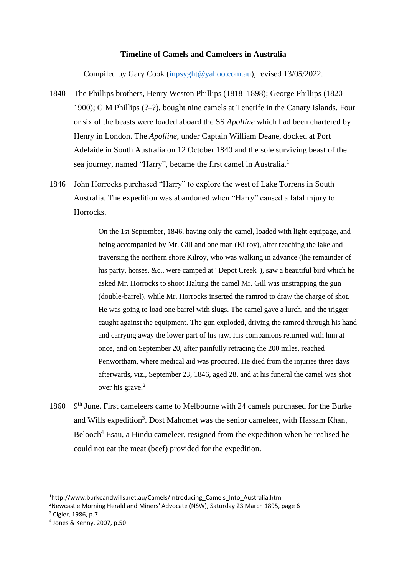## **Timeline of Camels and Cameleers in Australia**

Compiled by Gary Cook [\(inpsyght@yahoo.com.au\)](mailto:inpsyght@yahoo.com.au), revised 13/05/2022.

- 1840 The Phillips brothers, Henry Weston Phillips (1818–1898); George Phillips (1820– 1900); G M Phillips (?–?), bought nine camels at Tenerife in the Canary Islands. Four or six of the beasts were loaded aboard the SS *Apolline* which had been chartered by Henry in London. The *Apolline*, under Captain William Deane, docked at Port Adelaide in South Australia on 12 October 1840 and the sole surviving beast of the sea journey, named "Harry", became the first camel in Australia.<sup>1</sup>
- 1846 John Horrocks purchased "Harry" to explore the west of Lake Torrens in South Australia. The expedition was abandoned when "Harry" caused a fatal injury to Horrocks.

On the 1st September, 1846, having only the camel, loaded with light equipage, and being accompanied by Mr. Gill and one man (Kilroy), after reaching the lake and traversing the northern shore Kilroy, who was walking in advance (the remainder of his party, horses, &c., were camped at ' Depot Creek '), saw a beautiful bird which he asked Mr. Horrocks to shoot Halting the camel Mr. Gill was unstrapping the gun (double-barrel), while Mr. Horrocks inserted the ramrod to draw the charge of shot. He was going to load one barrel with slugs. The camel gave a lurch, and the trigger caught against the equipment. The gun exploded, driving the ramrod through his hand and carrying away the lower part of his jaw. His companions returned with him at once, and on September 20, after painfully retracing the 200 miles, reached Penwortham, where medical aid was procured. He died from the injuries three days afterwards, viz., September 23, 1846, aged 28, and at his funeral the camel was shot over his grave.<sup>2</sup>

1860 9<sup>th</sup> June. First cameleers came to Melbourne with 24 camels purchased for the Burke and Wills expedition<sup>3</sup>. Dost Mahomet was the senior cameleer, with Hassam Khan, Belooch<sup>4</sup> Esau, a Hindu cameleer, resigned from the expedition when he realised he could not eat the meat (beef) provided for the expedition.

<sup>1</sup>http://www.burkeandwills.net.au/Camels/Introducing\_Camels\_Into\_Australia.htm

<sup>&</sup>lt;sup>2</sup>Newcastle Morning Herald and Miners' Advocate (NSW), Saturday 23 March 1895, page 6

<sup>3</sup> Cigler, 1986, p.7

<sup>4</sup> Jones & Kenny, 2007, p.50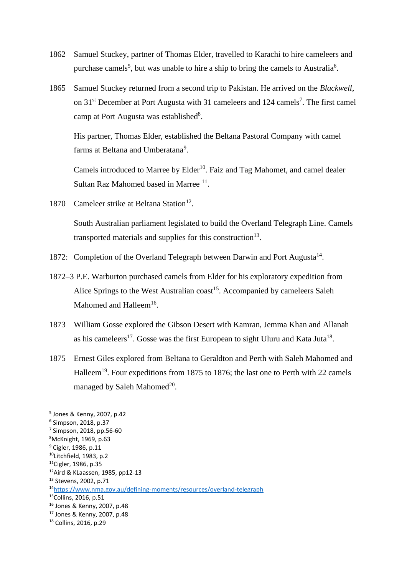- 1862 Samuel Stuckey, partner of Thomas Elder, travelled to Karachi to hire cameleers and purchase camels<sup>5</sup>, but was unable to hire a ship to bring the camels to Australia<sup>6</sup>.
- 1865 Samuel Stuckey returned from a second trip to Pakistan. He arrived on the *Blackwell*, on 31<sup>st</sup> December at Port Augusta with 31 cameleers and 124 camels<sup>7</sup>. The first camel camp at Port Augusta was established<sup>8</sup>.

His partner, Thomas Elder, established the Beltana Pastoral Company with camel farms at Beltana and Umberatana<sup>9</sup>.

Camels introduced to Marree by Elder<sup>10</sup>. Faiz and Tag Mahomet, and camel dealer Sultan Raz Mahomed based in Marree<sup>11</sup>.

1870 Cameleer strike at Beltana Station<sup>12</sup>.

South Australian parliament legislated to build the Overland Telegraph Line. Camels transported materials and supplies for this construction<sup>13</sup>.

- 1872: Completion of the Overland Telegraph between Darwin and Port Augusta<sup>14</sup>.
- 1872–3 P.E. Warburton purchased camels from Elder for his exploratory expedition from Alice Springs to the West Australian coast<sup>15</sup>. Accompanied by cameleers Saleh Mahomed and Halleem<sup>16</sup>.
- 1873 William Gosse explored the Gibson Desert with Kamran, Jemma Khan and Allanah as his cameleers<sup>17</sup>. Gosse was the first European to sight Uluru and Kata Juta<sup>18</sup>.
- 1875 Ernest Giles explored from Beltana to Geraldton and Perth with Saleh Mahomed and Halleem<sup>19</sup>. Four expeditions from 1875 to 1876; the last one to Perth with 22 camels managed by Saleh Mahomed $^{20}$ .

<sup>5</sup> Jones & Kenny, 2007, p.42

<sup>6</sup> Simpson, 2018, p.37

<sup>7</sup> Simpson, 2018, pp.56-60

<sup>8</sup>McKnight, 1969, p.63

<sup>&</sup>lt;sup>9</sup> Cigler, 1986, p.11  $10$ Litchfield, 1983, p.2

<sup>11</sup>Cigler, 1986, p.35

<sup>12</sup>Aird & KLaassen, 1985, pp12-13

<sup>13</sup> Stevens, 2002, p.71

<sup>14</sup><https://www.nma.gov.au/defining-moments/resources/overland-telegraph>

<sup>&</sup>lt;sup>15</sup>Collins, 2016, p.51

<sup>16</sup> Jones & Kenny, 2007, p.48

<sup>17</sup> Jones & Kenny, 2007, p.48

<sup>18</sup> Collins, 2016, p.29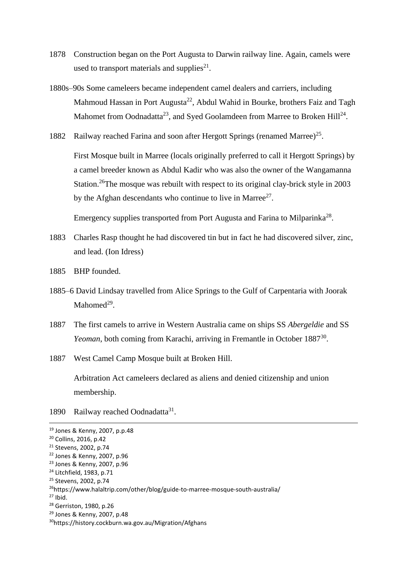- 1878 Construction began on the Port Augusta to Darwin railway line. Again, camels were used to transport materials and supplies $^{21}$ .
- 1880s–90s Some cameleers became independent camel dealers and carriers, including Mahmoud Hassan in Port Augusta<sup>22</sup>, Abdul Wahid in Bourke, brothers Faiz and Tagh Mahomet from Oodnadatta<sup>23</sup>, and Syed Goolamdeen from Marree to Broken Hill<sup>24</sup>.
- 1882 Railway reached Farina and soon after Hergott Springs (renamed Marree)<sup>25</sup>.

First Mosque built in Marree (locals originally preferred to call it Hergott Springs) by a camel breeder known as Abdul Kadir who was also the owner of the Wangamanna Station.<sup>26</sup>The mosque was rebuilt with respect to its original clay-brick style in 2003 by the Afghan descendants who continue to live in Marree<sup>27</sup>.

Emergency supplies transported from Port Augusta and Farina to Milparinka<sup>28</sup>.

- 1883 Charles Rasp thought he had discovered tin but in fact he had discovered silver, zinc, and lead. (Ion Idress)
- 1885 BHP founded.
- 1885–6 David Lindsay travelled from Alice Springs to the Gulf of Carpentaria with Joorak Mahomed<sup>29</sup>.
- 1887 The first camels to arrive in Western Australia came on ships SS *Abergeldie* and SS Yeoman, both coming from Karachi, arriving in Fremantle in October 1887<sup>30</sup>.
- 1887 West Camel Camp Mosque built at Broken Hill.

Arbitration Act cameleers declared as aliens and denied citizenship and union membership.

1890 Railway reached Oodnadatta<sup>31</sup>.

<sup>28</sup> Gerriston, 1980, p.26

<sup>19</sup> Jones & Kenny, 2007, p.p.48

<sup>20</sup> Collins, 2016, p.42

<sup>21</sup> Stevens, 2002, p.74

<sup>22</sup> Jones & Kenny, 2007, p.96

<sup>23</sup> Jones & Kenny, 2007, p.96

<sup>24</sup> Litchfield, 1983, p.71

<sup>25</sup> Stevens, 2002, p.74

<sup>26</sup>https://www.halaltrip.com/other/blog/guide-to-marree-mosque-south-australia/

 $27$  Ibid.

<sup>29</sup> Jones & Kenny, 2007, p.48

<sup>30</sup>https://history.cockburn.wa.gov.au/Migration/Afghans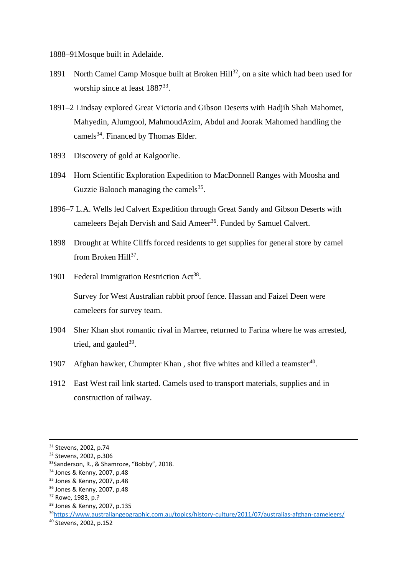1888–91Mosque built in Adelaide.

- 1891 North Camel Camp Mosque built at Broken Hill<sup>32</sup>, on a site which had been used for worship since at least 1887<sup>33</sup>.
- 1891–2 Lindsay explored Great Victoria and Gibson Deserts with Hadjih Shah Mahomet, Mahyedin, Alumgool, MahmoudAzim, Abdul and Joorak Mahomed handling the camels<sup>34</sup>. Financed by Thomas Elder.
- 1893 Discovery of gold at Kalgoorlie.
- 1894 Horn Scientific Exploration Expedition to MacDonnell Ranges with Moosha and Guzzie Balooch managing the camels $35$ .
- 1896–7 L.A. Wells led Calvert Expedition through Great Sandy and Gibson Deserts with cameleers Bejah Dervish and Said Ameer<sup>36</sup>. Funded by Samuel Calvert.
- 1898 Drought at White Cliffs forced residents to get supplies for general store by camel from Broken Hill<sup>37</sup>.
- 1901 Federal Immigration Restriction Act<sup>38</sup>.

Survey for West Australian rabbit proof fence. Hassan and Faizel Deen were cameleers for survey team.

- 1904 Sher Khan shot romantic rival in Marree, returned to Farina where he was arrested, tried, and gaoled $39$ .
- 1907 Afghan hawker, Chumpter Khan, shot five whites and killed a teamster<sup>40</sup>.
- 1912 East West rail link started. Camels used to transport materials, supplies and in construction of railway.

<sup>31</sup> Stevens, 2002, p.74

<sup>32</sup> Stevens, 2002, p.306

<sup>33</sup>Sanderson, R., & Shamroze, "Bobby", 2018.

<sup>34</sup> Jones & Kenny, 2007, p.48

<sup>35</sup> Jones & Kenny, 2007, p.48

<sup>36</sup> Jones & Kenny, 2007, p.48

<sup>37</sup> Rowe, 1983, p.?

<sup>38</sup> Jones & Kenny, 2007, p.135

<sup>39</sup><https://www.australiangeographic.com.au/topics/history-culture/2011/07/australias-afghan-cameleers/>

<sup>40</sup> Stevens, 2002, p.152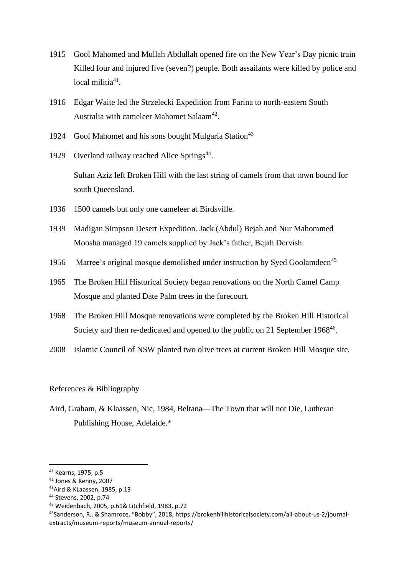- 1915 Gool Mahomed and Mullah Abdullah opened fire on the New Year's Day picnic train Killed four and injured five (seven?) people. Both assailants were killed by police and local militia<sup>41</sup>.
- 1916 Edgar Waite led the Strzelecki Expedition from Farina to north-eastern South Australia with cameleer Mahomet Salaam<sup>42</sup>.
- 1924 Gool Mahomet and his sons bought Mulgaria Station<sup>43</sup>
- 1929 Overland railway reached Alice Springs<sup>44</sup>. Sultan Aziz left Broken Hill with the last string of camels from that town bound for south Queensland.
- 1936 1500 camels but only one cameleer at Birdsville.
- 1939 Madigan Simpson Desert Expedition. Jack (Abdul) Bejah and Nur Mahommed Moosha managed 19 camels supplied by Jack's father, Bejah Dervish.
- 1956 Marree's original mosque demolished under instruction by Syed Goolamdeen<sup>45</sup>
- 1965 The Broken Hill Historical Society began renovations on the North Camel Camp Mosque and planted Date Palm trees in the forecourt.
- 1968 The Broken Hill Mosque renovations were completed by the Broken Hill Historical Society and then re-dedicated and opened to the public on 21 September 1968<sup>46</sup>.
- 2008 Islamic Council of NSW planted two olive trees at current Broken Hill Mosque site.

## References & Bibliography

Aird, Graham, & Klaassen, Nic, 1984, Beltana—The Town that will not Die, Lutheran Publishing House, Adelaide.\*

<sup>41</sup> Kearns, 1975, p.5

<sup>42</sup> Jones & Kenny, 2007

<sup>43</sup>Aird & KLaassen, 1985, p.13

<sup>44</sup> Stevens, 2002, p.74

<sup>45</sup> Weidenbach, 2005, p.61& Litchfield, 1983, p.72

<sup>46</sup>Sanderson, R., & Shamroze, "Bobby", 2018, https://brokenhillhistoricalsociety.com/all-about-us-2/journalextracts/museum-reports/museum-annual-reports/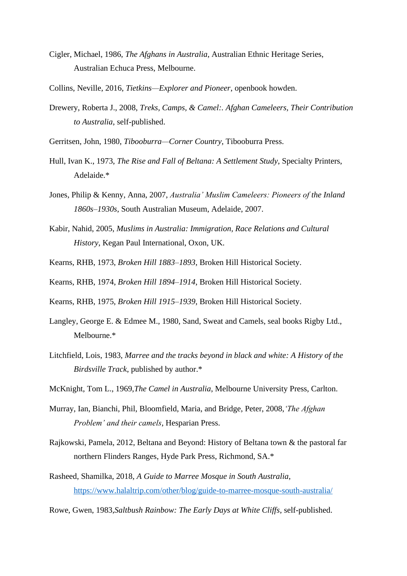- Cigler, Michael, 1986, *The Afghans in Australia*, Australian Ethnic Heritage Series, Australian Echuca Press, Melbourne.
- Collins, Neville, 2016, *Tietkins—Explorer and Pioneer*, openbook howden.
- Drewery, Roberta J., 2008, *Treks, Camps, & Camel:. Afghan Cameleers, Their Contribution to Australia*, self-published.
- Gerritsen, John, 1980, *Tibooburra—Corner Country*, Tibooburra Press.
- Hull, Ivan K., 1973, *The Rise and Fall of Beltana: A Settlement Study*, Specialty Printers, Adelaide.\*
- Jones, Philip & Kenny, Anna, 2007, *Australia' Muslim Cameleers: Pioneers of the Inland 1860s–1930s*, South Australian Museum, Adelaide, 2007.
- Kabir, Nahid, 2005, *Muslims in Australia: Immigration, Race Relations and Cultural History*, Kegan Paul International, Oxon, UK.
- Kearns, RHB, 1973, *Broken Hill 1883–1893*, Broken Hill Historical Society.
- Kearns, RHB, 1974, *Broken Hill 1894–1914*, Broken Hill Historical Society.
- Kearns, RHB, 1975, *Broken Hill 1915–1939*, Broken Hill Historical Society.
- Langley, George E. & Edmee M., 1980, Sand, Sweat and Camels, seal books Rigby Ltd., Melbourne.\*
- Litchfield, Lois, 1983, *Marree and the tracks beyond in black and white: A History of the Birdsville Track*, published by author.\*
- McKnight, Tom L., 1969,*The Camel in Australia*, Melbourne University Press, Carlton.
- Murray, Ian, Bianchi, Phil, Bloomfield, Maria, and Bridge, Peter, 2008,*'The Afghan Problem' and their camels*, Hesparian Press.
- Rajkowski, Pamela, 2012, Beltana and Beyond: History of Beltana town & the pastoral far northern Flinders Ranges, Hyde Park Press, Richmond, SA.\*
- Rasheed, Shamilka, 2018, *A Guide to Marree Mosque in South Australia*, <https://www.halaltrip.com/other/blog/guide-to-marree-mosque-south-australia/>
- Rowe, Gwen, 1983,*Saltbush Rainbow: The Early Days at White Cliffs*, self-published.